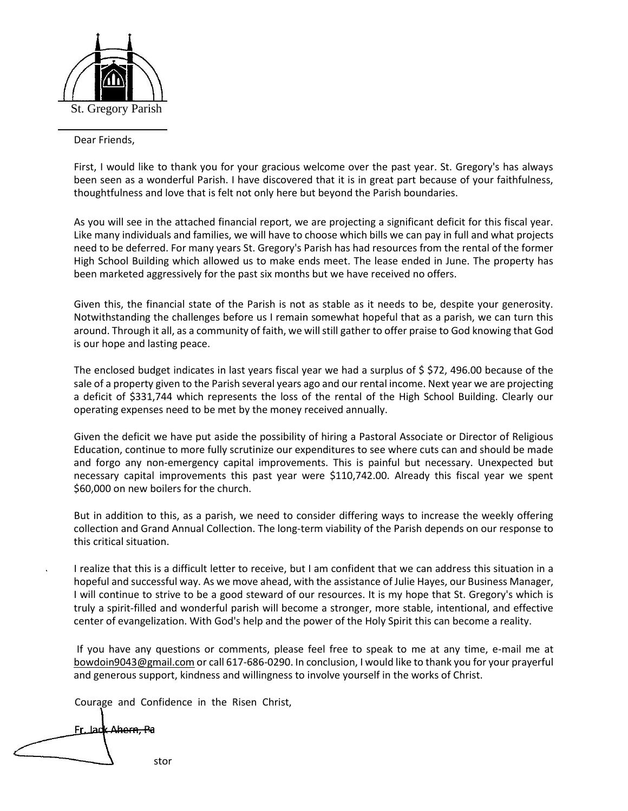

Dear Friends,

First, I would like to thank you for your gracious welcome over the past year. St. Gregory's has always been seen as a wonderful Parish. I have discovered that it is in great part because of your faithfulness, thoughtfulness and love that is felt not only here but beyond the Parish boundaries.

As you will see in the attached financial report, we are projecting a significant deficit for this fiscal year. Like many individuals and families, we will have to choose which bills we can pay in full and what projects need to be deferred. For many years St. Gregory's Parish has had resources from the rental of the former High School Building which allowed us to make ends meet. The lease ended in June. The property has been marketed aggressively for the past six months but we have received no offers.

Given this, the financial state of the Parish is not as stable as it needs to be, despite your generosity. Notwithstanding the challenges before us I remain somewhat hopeful that as a parish, we can turn this around. Through it all, as a community of faith, we will still gather to offer praise to God knowing that God is our hope and lasting peace.

The enclosed budget indicates in last years fiscal year we had a surplus of \$ \$72, 496.00 because of the sale of a property given to the Parish several years ago and our rental income. Next year we are projecting a deficit of \$331,744 which represents the loss of the rental of the High School Building. Clearly our operating expenses need to be met by the money received annually.

Given the deficit we have put aside the possibility of hiring a Pastoral Associate or Director of Religious Education, continue to more fully scrutinize our expenditures to see where cuts can and should be made and forgo any non-emergency capital improvements. This is painful but necessary. Unexpected but necessary capital improvements this past year were \$110,742.00. Already this fiscal year we spent \$60,000 on new boilers for the church.

But in addition to this, as a parish, we need to consider differing ways to increase the weekly offering collection and Grand Annual Collection. The long-term viability of the Parish depends on our response to this critical situation.

I realize that this is a difficult letter to receive, but I am confident that we can address this situation in a hopeful and successful way. As we move ahead, with the assistance of Julie Hayes, our Business Manager, I will continue to strive to be a good steward of our resources. It is my hope that St. Gregory's which is truly a spirit-filled and wonderful parish will become a stronger, more stable, intentional, and effective center of evangelization. With God's help and the power of the Holy Spirit this can become a reality.

If you have any questions or comments, please feel free to speak to me at any time, e-mail me at bowdoin9043@gmail.com or call 617-686-0290. In conclusion, I would like to thank you for your prayerful and generous support, kindness and willingness to involve yourself in the works of Christ.

Courage and Confidence in the Risen Christ,

Fr. Jack Ahern, Pa stor